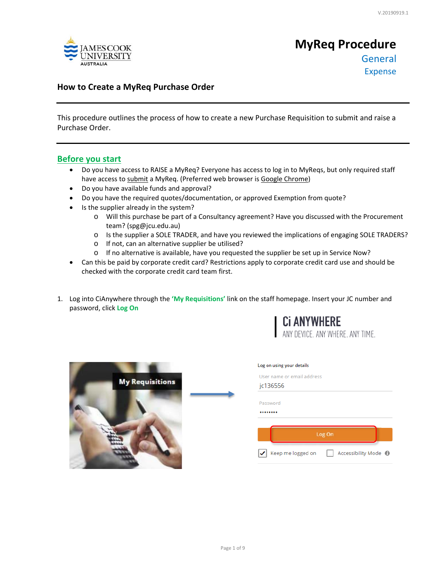

## **How to Create a MyReq Purchase Order**

This procedure outlines the process of how to create a new Purchase Requisition to submit and raise a Purchase Order.

## **Before you start**

- Do you have access to RAISE a MyReq? Everyone has access to log in to MyReqs, but only required staff have access to submit a MyReq. (Preferred web browser is Google Chrome)
- Do you have available funds and approval?
- Do you have the required quotes/documentation, or approved Exemption from quote?
- Is the supplier already in the system?
	- o Will this purchase be part of a Consultancy agreement? Have you discussed with the Procurement team? (spg@jcu.edu.au)
	- o Is the supplier a SOLE TRADER, and have you reviewed the implications of engaging SOLE TRADERS?
	- o If not, can an alternative supplier be utilised?
	- o If no alternative is available, have you requested the supplier be set up in Service Now?
- Can this be paid by corporate credit card? Restrictions apply to corporate credit card use and should be checked with the corporate credit card team first.
- 1. Log into CiAnywhere through the **'My Requisitions'** link on the staff homepage. Insert your JC number and password, click **Log On**





| Log on using your details               |
|-----------------------------------------|
| User name or email address<br>jc136556  |
| Password                                |
| Log On                                  |
| Keep me logged on<br>Accessibility Mode |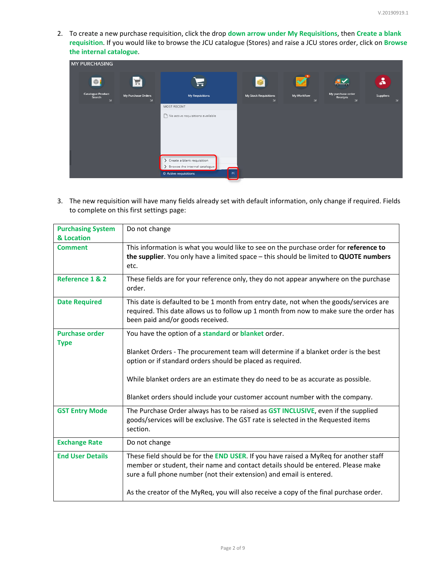2. To create a new purchase requisition, click the drop **down arrow under My Requisitions**, then **Create a blank requisition**. If you would like to browse the JCU catalogue (Stores) and raise a JCU stores order, click on **Browse the internal catalogue**.

| <b>MY PURCHASING</b>                               |                                    |                                  |                                       |                                    |                                               |                                  |
|----------------------------------------------------|------------------------------------|----------------------------------|---------------------------------------|------------------------------------|-----------------------------------------------|----------------------------------|
| 命                                                  | Ħ                                  |                                  |                                       | <b>TA</b>                          |                                               | នំ                               |
| <b>Catalogue Product</b><br>Search<br>$\mathbf{N}$ | My Purchase Orders<br>$\mathbf{N}$ | <b>My Requisitions</b>           | My Stock Requisitions<br>$\mathbf{N}$ | <b>My Workflow</b><br>$\mathbf{N}$ | My purchase order<br>Receipts<br>$\mathbf{N}$ | <b>Suppliers</b><br>$\mathbf{N}$ |
|                                                    |                                    | MOST RECENT                      |                                       |                                    |                                               |                                  |
|                                                    |                                    | No active requisitions available |                                       |                                    |                                               |                                  |
|                                                    |                                    | > Create a blank requisition     |                                       |                                    |                                               |                                  |
|                                                    |                                    | Browse the internal catalogue    |                                       |                                    |                                               |                                  |
|                                                    |                                    | <b>0</b> Active requisitions     | $\kappa$                              |                                    |                                               |                                  |

3. The new requisition will have many fields already set with default information, only change if required. Fields to complete on this first settings page:

| <b>Purchasing System</b><br>& Location | Do not change                                                                                                                                                                                                                                                                                                                              |
|----------------------------------------|--------------------------------------------------------------------------------------------------------------------------------------------------------------------------------------------------------------------------------------------------------------------------------------------------------------------------------------------|
| <b>Comment</b>                         | This information is what you would like to see on the purchase order for reference to<br>the supplier. You only have a limited space - this should be limited to QUOTE numbers<br>etc.                                                                                                                                                     |
| Reference 1 & 2                        | These fields are for your reference only, they do not appear anywhere on the purchase<br>order.                                                                                                                                                                                                                                            |
| <b>Date Required</b>                   | This date is defaulted to be 1 month from entry date, not when the goods/services are<br>required. This date allows us to follow up 1 month from now to make sure the order has<br>been paid and/or goods received.                                                                                                                        |
| <b>Purchase order</b><br><b>Type</b>   | You have the option of a standard or blanket order.<br>Blanket Orders - The procurement team will determine if a blanket order is the best<br>option or if standard orders should be placed as required.<br>While blanket orders are an estimate they do need to be as accurate as possible.                                               |
|                                        | Blanket orders should include your customer account number with the company.                                                                                                                                                                                                                                                               |
| <b>GST Entry Mode</b>                  | The Purchase Order always has to be raised as GST INCLUSIVE, even if the supplied<br>goods/services will be exclusive. The GST rate is selected in the Requested items<br>section.                                                                                                                                                         |
| <b>Exchange Rate</b>                   | Do not change                                                                                                                                                                                                                                                                                                                              |
| <b>End User Details</b>                | These field should be for the END USER. If you have raised a MyReq for another staff<br>member or student, their name and contact details should be entered. Please make<br>sure a full phone number (not their extension) and email is entered.<br>As the creator of the MyReq, you will also receive a copy of the final purchase order. |
|                                        |                                                                                                                                                                                                                                                                                                                                            |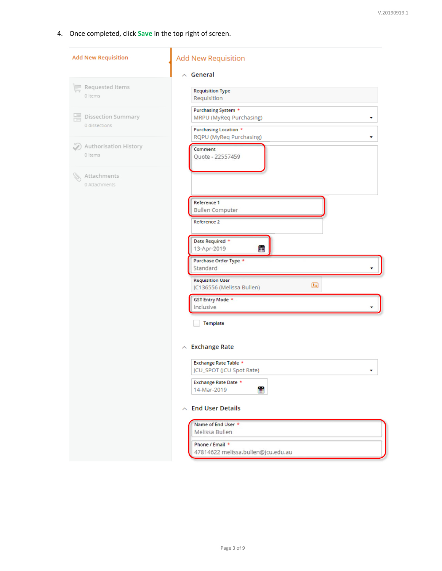4. Once completed, click **Save** in the top right of screen.

| <b>Add New Requisition</b>                      | <b>Add New Requisition</b>                                  |
|-------------------------------------------------|-------------------------------------------------------------|
|                                                 | $\wedge$ General                                            |
| $\frac{1}{\sqrt{2}}$ Requested Items<br>0 items | <b>Requisition Type</b><br>Requisition                      |
| 噐<br>Dissection Summary<br>0 dissections        | Purchasing System *<br>MRPU (MyReq Purchasing)              |
| Authorisation History                           | Purchasing Location *<br>RQPU (MyReq Purchasing)<br>Comment |
| 0 items                                         | Quote - 22557459                                            |
| Attachments<br>0 Attachments                    |                                                             |
|                                                 | Reference 1<br><b>Bullen Computer</b>                       |
|                                                 | Reference 2                                                 |
|                                                 | Date Required *<br>li<br>13-Apr-2019                        |
|                                                 | Purchase Order Type *<br>Standard                           |
|                                                 | <b>Requisition User</b><br>⊕<br>JC136556 (Melissa Bullen)   |
|                                                 | <b>GST Entry Mode *</b><br>Inclusive                        |
|                                                 | Template                                                    |
|                                                 | <b>Exchange Rate</b><br>$\sim$                              |
|                                                 | Exchange Rate Table *<br>JCU_SPOT (JCU Spot Rate)           |
|                                                 | Exchange Rate Date *<br>雦<br>14-Mar-2019                    |
|                                                 | $\wedge$ End User Details                                   |
|                                                 | Name of End User *<br>Melissa Bullen                        |
|                                                 | Phone / Email *<br>47814622 melissa.bullen@jcu.edu.au       |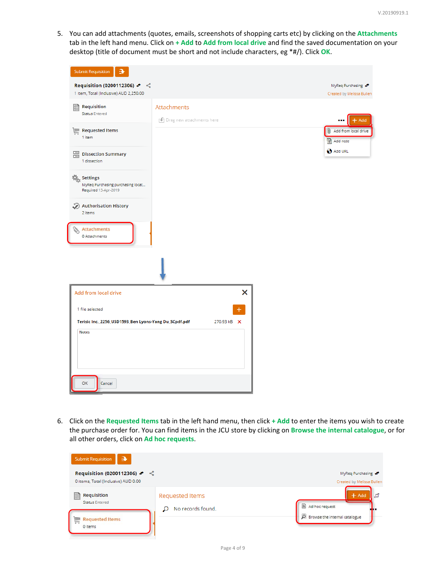5. You can add attachments (quotes, emails, screenshots of shopping carts etc) by clicking on the **Attachments**  tab in the left hand menu. Click on **+ Add** to **Add from local drive** and find the saved documentation on your desktop (title of document must be short and not include characters, eg \*#/). Click **OK**.

| <b>Submit Requisition</b><br>a                                                  |                                            |             |                                               |
|---------------------------------------------------------------------------------|--------------------------------------------|-------------|-----------------------------------------------|
| Requisition (0200112306) ← <<br>1 item, Total (Inclusive) AUD 2,250.00          |                                            |             | MyReq Purchasing<br>Created by Melissa Bullen |
| Requisition<br>瞳<br><b>Status Entered</b>                                       | Attachments<br>[ Drag new attachments here |             | - Add<br>                                     |
| <b>Requested Items</b><br>$\sqrt{2}$<br>1 item                                  |                                            |             | Add from local drive<br>Add note              |
| 图 Dissection Summary<br>1 dissection                                            |                                            |             | Add URL                                       |
| <b>AL</b> Settings<br>MyReq Purchasing purchasing locat<br>Required 13-Apr-2019 |                                            |             |                                               |
| <b>Authorisation History</b><br>ℬ<br>2 items                                    |                                            |             |                                               |
| Attachments<br>0 Attachments                                                    |                                            |             |                                               |
|                                                                                 |                                            |             |                                               |
| <b>Add from local drive</b>                                                     |                                            | ×           |                                               |
| 1 file selected                                                                 |                                            |             |                                               |
| Terisic Inc._2256_USD1593_Ben Lyons-Yang Du_SCpdf.pdf                           |                                            | 270.93 kB X |                                               |
| <b>Notes</b>                                                                    |                                            |             |                                               |
| OK<br>Cancel                                                                    |                                            |             |                                               |

6. Click on the **Requested Items** tab in the left hand menu, then click **+ Add** to enter the items you wish to create the purchase order for. You can find items in the JCU store by clicking on **Browse the internal catalogue**, or for all other orders, click on **Ad hoc requests**.

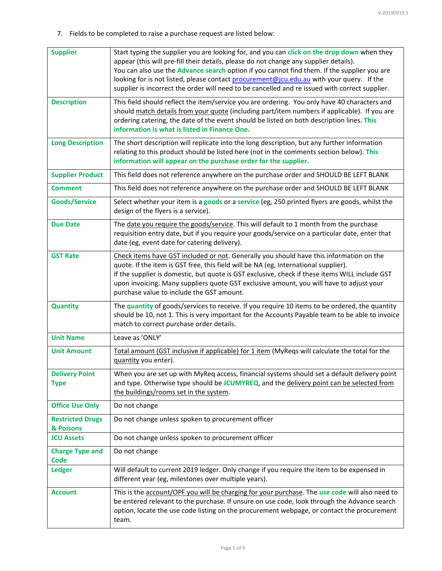7. Fields to be completed to raise a purchase request are listed below:

| <b>Supplier</b>                       | Start typing the supplier you are looking for, and you can click on the drop down when they<br>appear (this will pre-fill their details, please do not change any supplier details).<br>You can also use the Advance search option if you cannot find them. If the supplier you are<br>looking for is not listed, please contact procurement@jcu.edu.au with your query. If the<br>supplier is incorrect the order will need to be cancelled and re issued with correct supplier. |
|---------------------------------------|-----------------------------------------------------------------------------------------------------------------------------------------------------------------------------------------------------------------------------------------------------------------------------------------------------------------------------------------------------------------------------------------------------------------------------------------------------------------------------------|
| <b>Description</b>                    | This field should reflect the item/service you are ordering. You only have 40 characters and<br>should match details from your quote (including part/item numbers if applicable). If you are<br>ordering catering, the date of the event should be listed on both description lines. This<br>information is what is listed in Finance One.                                                                                                                                        |
| <b>Long Description</b>               | The short description will replicate into the long description, but any further information<br>relating to this product should be listed here (not in the comments section below). This<br>information will appear on the purchase order for the supplier.                                                                                                                                                                                                                        |
| <b>Supplier Product</b>               | This field does not reference anywhere on the purchase order and SHOULD BE LEFT BLANK                                                                                                                                                                                                                                                                                                                                                                                             |
| <b>Comment</b>                        | This field does not reference anywhere on the purchase order and SHOULD BE LEFT BLANK                                                                                                                                                                                                                                                                                                                                                                                             |
| <b>Goods/Service</b>                  | Select whether your item is a goods or a service (eg, 250 printed flyers are goods, whilst the<br>design of the flyers is a service).                                                                                                                                                                                                                                                                                                                                             |
| <b>Due Date</b>                       | The date you require the goods/service. This will default to 1 month from the purchase<br>requisition entry date, but if you require your goods/service on a particular date, enter that<br>date (eg, event date for catering delivery).                                                                                                                                                                                                                                          |
| <b>GST Rate</b>                       | Check items have GST included or not. Generally you should have this information on the<br>quote. If the item is GST free, this field will be NA (eg, International supplier).<br>If the supplier is domestic, but quote is GST exclusive, check if these items WILL include GST<br>upon invoicing. Many suppliers quote GST exclusive amount, you will have to adjust your<br>purchase value to include the GST amount.                                                          |
| <b>Quantity</b>                       | The quantity of goods/services to receive. If you require 10 items to be ordered, the quantity<br>should be 10, not 1. This is very important for the Accounts Payable team to be able to invoice<br>match to correct purchase order details.                                                                                                                                                                                                                                     |
| <b>Unit Name</b>                      | Leave as 'ONLY'                                                                                                                                                                                                                                                                                                                                                                                                                                                                   |
| <b>Unit Amount</b>                    | Total amount (GST inclusive if applicable) for 1 item (MyReqs will calculate the total for the<br>quantity you enter).                                                                                                                                                                                                                                                                                                                                                            |
| <b>Delivery Point</b><br><b>Type</b>  | When you are set up with MyReq access, financial systems should set a default delivery point<br>and type. Otherwise type should be JCUMYREQ, and the delivery point can be selected from<br>the buildings/rooms set in the system.                                                                                                                                                                                                                                                |
| <b>Office Use Only</b>                | Do not change                                                                                                                                                                                                                                                                                                                                                                                                                                                                     |
| <b>Restricted Drugs</b><br>& Poisons  | Do not change unless spoken to procurement officer                                                                                                                                                                                                                                                                                                                                                                                                                                |
| <b>JCU Assets</b>                     | Do not change unless spoken to procurement officer                                                                                                                                                                                                                                                                                                                                                                                                                                |
| <b>Charge Type and</b><br><b>Code</b> | Do not change                                                                                                                                                                                                                                                                                                                                                                                                                                                                     |
| <b>Ledger</b>                         | Will default to current 2019 ledger. Only change if you require the item to be expensed in<br>different year (eg, milestones over multiple years).                                                                                                                                                                                                                                                                                                                                |
| <b>Account</b>                        | This is the account/OPF you will be charging for your purchase. The use code will also need to<br>be entered relevant to the purchase. If unsure on use code, look through the Advance search<br>option, locate the use code listing on the procurement webpage, or contact the procurement<br>team.                                                                                                                                                                              |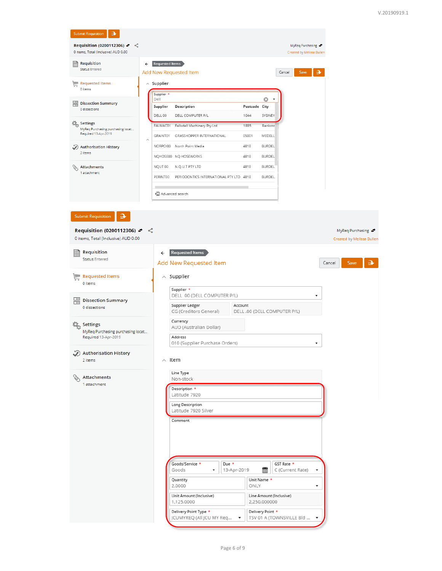| <b>Submit Requisition</b><br>⋑                                                         |                                                         |                                         |                                                              |                           |
|----------------------------------------------------------------------------------------|---------------------------------------------------------|-----------------------------------------|--------------------------------------------------------------|---------------------------|
| Requisition (0200112306) $\leftrightarrow$<br>≺<br>0 items, Total (Inclusive) AUD 0.00 |                                                         |                                         | MyReq Purchasing < <sup>→</sup><br>Created by Melissa Bullen |                           |
| Requisition                                                                            | Requested Items<br>$\leftarrow$                         |                                         |                                                              |                           |
| <b>Status Entered</b>                                                                  | Add New Requested Item                                  |                                         | э<br>Save<br>Cancel                                          |                           |
| <b>Requested Items</b><br>∟<br>0 items                                                 | $\wedge$ Supplier                                       |                                         |                                                              |                           |
| 圕<br><b>Dissection Summary</b>                                                         | Supplier *<br>Dell                                      |                                         | O<br>٠                                                       |                           |
| 0 dissections                                                                          | Supplier<br>Description<br>DELL 00<br>DELL COMPUTER P/L | Postcode City<br>1044                   | SYDNEY                                                       |                           |
| <b>The Settings</b>                                                                    | FALMAC01<br>Fallsdell Machinery Pty Ltd                 | 1885                                    | Banksto                                                      |                           |
| MyReq Purchasing purchasing locat<br>Required 13-Apr-2019                              | <b>GRASSHOPPER INTERNATIONAL</b><br>GRAINT01<br>$\land$ | 05001                                   | MEDELL                                                       |                           |
| Authorisation History (                                                                | NORPOI00 North Point Media                              | 4818                                    | <b>BURDEL</b>                                                |                           |
| 2 items                                                                                | NQHOSE00 NQ HOSEWORKS                                   | 4818                                    | <b>BURDEL</b>                                                |                           |
| D<br><b>Attachments</b><br>1 attachment                                                | NQUT 00<br>N.Q.U.T PTY LTD                              | 4818                                    | <b>BURDEL</b>                                                |                           |
|                                                                                        | PERINT00                                                | PERIODONTICS INTERNATIONAL PTY LTD 4818 | <b>BURDEL</b>                                                |                           |
|                                                                                        | 目 Advanced search                                       |                                         |                                                              |                           |
|                                                                                        |                                                         |                                         |                                                              |                           |
| э<br><b>Submit Requisition</b>                                                         |                                                         |                                         |                                                              |                           |
| Requisition (0200112306) $\leftrightarrow \leq$                                        |                                                         |                                         |                                                              | MyReq Purchasing <■       |
| 0 items, Total (Inclusive) AUD 0.00                                                    |                                                         |                                         |                                                              | Created by Melissa Bullen |
| Requisition                                                                            | Requested Items<br>$\leftarrow$                         |                                         |                                                              |                           |
| <b>Status Entered</b>                                                                  | Add New Requested Item                                  |                                         |                                                              | Cancel<br>Save            |
| <b>Requested Items</b><br>$\sqrt{2}$                                                   | $\wedge$ Supplier                                       |                                         |                                                              |                           |
| 0 items                                                                                | Supplier *                                              |                                         |                                                              |                           |
| 圕<br><b>Dissection Summary</b>                                                         | DELL 00 (DELL COMPUTER P/L)                             |                                         | ▼                                                            |                           |
| 0 dissections                                                                          | Supplier Ledger<br>CG (Creditors General)               | Account                                 | DELL .00 (DELL COMPUTER P/L)                                 |                           |
| <b>Settings</b>                                                                        | Currency                                                |                                         |                                                              |                           |
| MyReq Purchasing purchasing locat                                                      | AUD (Australian Dollar)                                 |                                         |                                                              |                           |
| Required 13-Apr-2019                                                                   | Address<br>010 (Supplier Purchase Orders)               |                                         |                                                              |                           |
| Authorisation History                                                                  |                                                         |                                         |                                                              |                           |
| 2 items                                                                                | $\wedge$ Item                                           |                                         |                                                              |                           |
| <b>Attachments</b>                                                                     | Line Type<br>Non-stock                                  |                                         |                                                              |                           |
| 1 attachment                                                                           | Description *                                           |                                         |                                                              |                           |
|                                                                                        | Latitude 7920<br>Long Description                       |                                         |                                                              |                           |
|                                                                                        | Latitude 7920 Silver                                    |                                         |                                                              |                           |
|                                                                                        | Comment                                                 |                                         |                                                              |                           |
|                                                                                        |                                                         |                                         |                                                              |                           |
|                                                                                        |                                                         |                                         |                                                              |                           |
|                                                                                        |                                                         |                                         |                                                              |                           |
|                                                                                        | Goods/Service *<br>Goods                                | Due *<br>13-Apr-2019<br>٠               | GST Rate *<br>■<br>C (Current Rate)<br>۰                     |                           |
|                                                                                        | Quantity                                                |                                         | Unit Name *                                                  |                           |
|                                                                                        | 2.0000<br>Unit Amount (Inclusive)                       | <b>ONLY</b>                             | ۰<br>Line Amount (Inclusive)                                 |                           |
|                                                                                        | 1,125.0000                                              |                                         | 2,250.000000                                                 |                           |
|                                                                                        | Delivery Point Type *<br>JCUMYREQ (All JCU MY Req       | $\pmb{\mathrm{v}}$                      | Delivery Point *<br>TSV 01 A (TOWNSVILLE Bld                 |                           |
|                                                                                        |                                                         |                                         |                                                              |                           |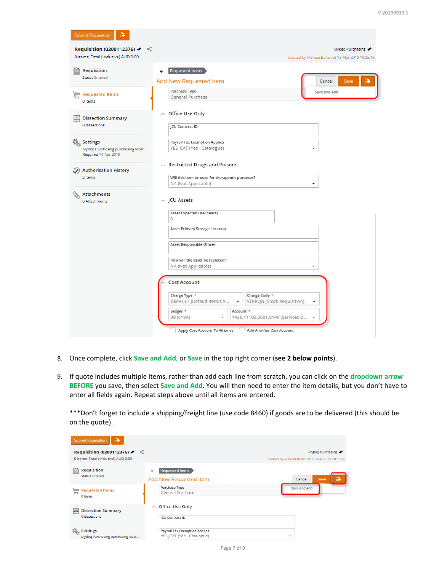| э<br><b>Submit Requisition</b>                                                         |                                                                                                                            |
|----------------------------------------------------------------------------------------|----------------------------------------------------------------------------------------------------------------------------|
| Requisition (0200112376) $\leftrightarrow \leq$<br>0 items, Total (Inclusive) AUD 0.00 | MyReq Purchasing <■<br>Created by Melissa Bullen at 15-Mar-2019 10:35:16                                                   |
| 睈<br>Requisition<br><b>Status Entered</b>                                              | <b>Requested Items</b><br>$\leftarrow$<br>Add New Requested Item<br>Cancel                                                 |
| <b>Requested Items</b><br>$\sqrt{2}$<br>0 items                                        | Purchase Type<br>Save and Add<br>General Purchase                                                                          |
| 圕<br><b>Dissection Summary</b><br>0 dissections                                        | Office Use Only<br>$\wedge$<br>JCU Contract ID                                                                             |
| <b>Settings</b><br>MyReq Purchasing purchasing locat<br>Required 14-Apr-2019           | <b>Payroll Tax Exemption Applies</b><br>YES_CAT (Yes - Catalogue)                                                          |
| <b>Authorisation History</b><br>2 items                                                | <b>Restricted Drugs and Poisons</b><br>$\wedge$<br>Will this item be used for therapeutic purposes?<br>NA (Not Applicable) |
| <b>Attachments</b><br>0 Attachments                                                    | $\land$ JCU Assets                                                                                                         |
|                                                                                        | Asset Expected Life (Years).<br>0<br>Asset Primary Storage Location.                                                       |
|                                                                                        | Asset Responsible Officer<br>How will the asset be replaced?<br>NA (Not Applicable)<br>▼                                   |
|                                                                                        | <b>Cost Account</b>                                                                                                        |
|                                                                                        | Charge Code *<br>Charge Type *<br>DEFAULT (Default Item/Ch<br>STKRQN (Stock Requisition)                                   |
|                                                                                        | Ledger *<br>Account *<br>1420.11100.0001.8140 (Services D<br>00 (019A)<br>۰                                                |
|                                                                                        | Apply Cost Account To All Lines<br>Add Another Cost Account                                                                |

- 8. Once complete, click **Save and Add**, or **Save** in the top right corner (**see 2 below points**).
- 9. If quote includes multiple items, rather than add each line from scratch, you can click on the **dropdown arrow BEFORE** you save, then select **Save and Add**. You will then need to enter the item details, but you don't have to enter all fields again. Repeat steps above until all items are entered.

\*\*\*Don't forget to include a shipping/freight line (use code 8460) if goods are to be delivered (this should be on the quote).

| э<br><b>Submit Requisition</b>                                                     |                                                                      |                                                                         |
|------------------------------------------------------------------------------------|----------------------------------------------------------------------|-------------------------------------------------------------------------|
| Requisition (0200112376) $\rightarrow \leq$<br>0 items, Total (Inclusive) AUD 0.00 |                                                                      | MyReq Purchasing ←<br>Created by Melissa Bullen at 15-Mar-2019 10:35:16 |
| <b>Requisition</b><br>Æ<br><b>Status Entered</b>                                   | <b>Requested Items</b><br>$\leftarrow$<br>Add New Requested Item     | Save<br>Cancel<br>R                                                     |
| <b>Requested Items</b><br>0 items                                                  | Purchase Type<br>General Purchase                                    | Save and Add                                                            |
| <b>Dissection Summary</b><br>噐<br>0 dissections                                    | Office Use Only<br>$\widehat{\phantom{a}}$<br><b>JCU Contract ID</b> |                                                                         |
| <b>Settings</b><br>MyReq Purchasing purchasing locat                               | Payroll Tax Exemption Applies<br>YES_CAT (Yes - Catalogue)           |                                                                         |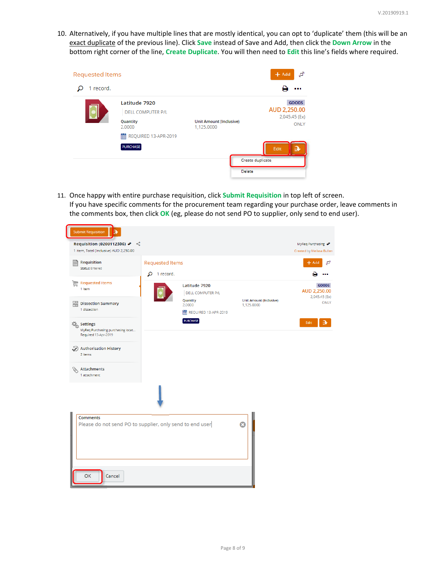10. Alternatively, if you have multiple lines that are mostly identical, you can opt to 'duplicate' them (this will be an exact duplicate of the previous line). Click **Save** instead of Save and Add, then click the **Down Arrow** in the bottom right corner of the line, **Create Duplicate**. You will then need to **Edit** this line's fields where required.

| <b>Requested Items</b> |                                                       |                         | °م<br>$+$ Add                                 |
|------------------------|-------------------------------------------------------|-------------------------|-----------------------------------------------|
| 1 record.              |                                                       |                         | <b>ALC N</b>                                  |
|                        | Latitude 7920<br><b>DELL COMPUTER P/L</b><br>Quantity | Unit Amount (Inclusive) | <b>GOODS</b><br>AUD 2,250.00<br>2,045.45 (Ex) |
|                        | 2.0000<br>REQUIRED 13-APR-2019                        | 1,125,0000              | ONLY                                          |
|                        | <b>PURCHASE</b>                                       |                         | Edit<br>э<br>Create duplicate                 |
|                        |                                                       | Delete                  |                                               |

11. Once happy with entire purchase requisition, click **Submit Requisition** in top left of screen. If you have specific comments for the procurement team regarding your purchase order, leave comments in the comments box, then click **OK** (eg, please do not send PO to supplier, only send to end user).